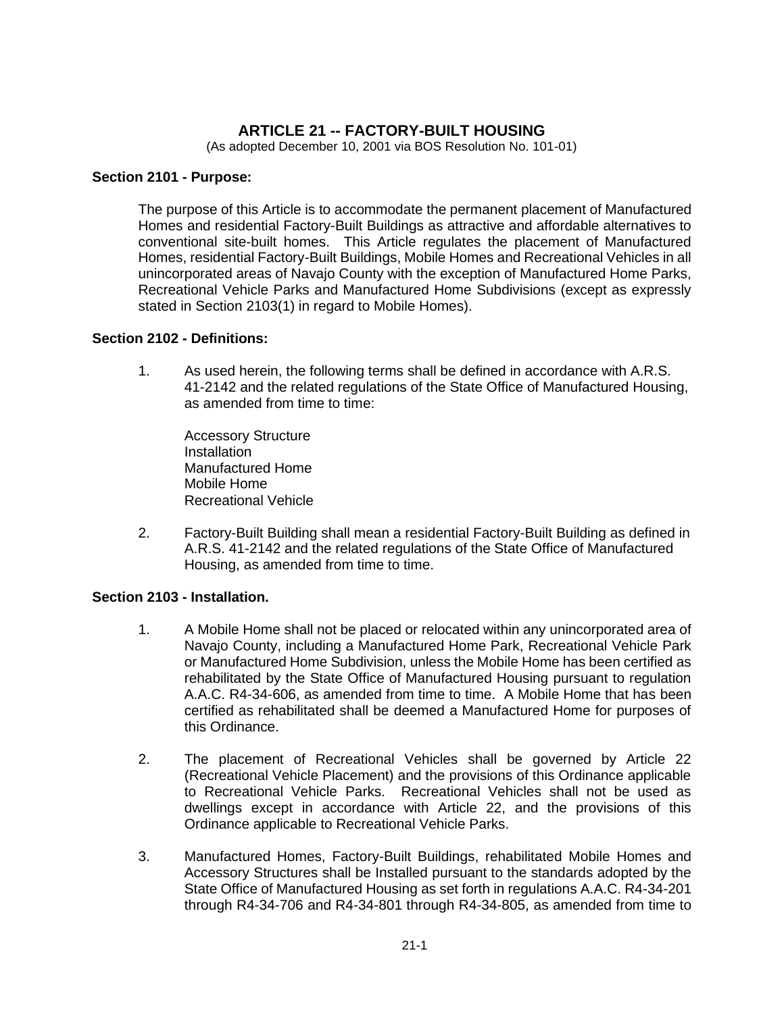# **ARTICLE 21 -- FACTORY-BUILT HOUSING**

(As adopted December 10, 2001 via BOS Resolution No. 101-01)

#### **Section 2101 - Purpose:**

The purpose of this Article is to accommodate the permanent placement of Manufactured Homes and residential Factory-Built Buildings as attractive and affordable alternatives to conventional site-built homes. This Article regulates the placement of Manufactured Homes, residential Factory-Built Buildings, Mobile Homes and Recreational Vehicles in all unincorporated areas of Navajo County with the exception of Manufactured Home Parks, Recreational Vehicle Parks and Manufactured Home Subdivisions (except as expressly stated in Section 2103(1) in regard to Mobile Homes).

### **Section 2102 - Definitions:**

1. As used herein, the following terms shall be defined in accordance with A.R.S. 41-2142 and the related regulations of the State Office of Manufactured Housing, as amended from time to time:

Accessory Structure **Installation** Manufactured Home Mobile Home Recreational Vehicle

2. Factory-Built Building shall mean a residential Factory-Built Building as defined in A.R.S. 41-2142 and the related regulations of the State Office of Manufactured Housing, as amended from time to time.

## **Section 2103 - Installation.**

- 1. A Mobile Home shall not be placed or relocated within any unincorporated area of Navajo County, including a Manufactured Home Park, Recreational Vehicle Park or Manufactured Home Subdivision, unless the Mobile Home has been certified as rehabilitated by the State Office of Manufactured Housing pursuant to regulation A.A.C. R4-34-606, as amended from time to time. A Mobile Home that has been certified as rehabilitated shall be deemed a Manufactured Home for purposes of this Ordinance.
- 2. The placement of Recreational Vehicles shall be governed by Article 22 (Recreational Vehicle Placement) and the provisions of this Ordinance applicable to Recreational Vehicle Parks. Recreational Vehicles shall not be used as dwellings except in accordance with Article 22, and the provisions of this Ordinance applicable to Recreational Vehicle Parks.
- 3. Manufactured Homes, Factory-Built Buildings, rehabilitated Mobile Homes and Accessory Structures shall be Installed pursuant to the standards adopted by the State Office of Manufactured Housing as set forth in regulations A.A.C. R4-34-201 through R4-34-706 and R4-34-801 through R4-34-805, as amended from time to